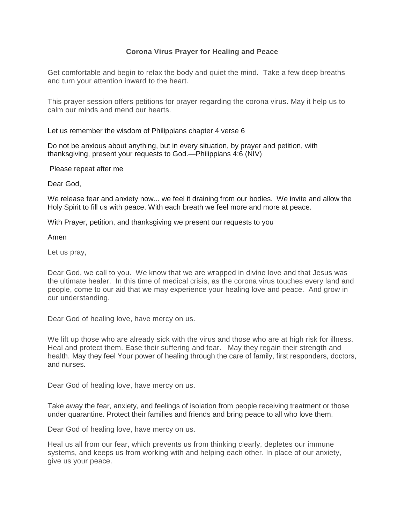## **Corona Virus Prayer for Healing and Peace**

Get comfortable and begin to relax the body and quiet the mind. Take a few deep breaths and turn your attention inward to the heart.

This prayer session offers petitions for prayer regarding the corona virus. May it help us to calm our minds and mend our hearts.

Let us remember the wisdom of Philippians chapter 4 verse 6

Do not be anxious about anything, but in every situation, by prayer and petition, with thanksgiving, present your requests to God.—Philippians 4:6 (NIV)

Please repeat after me

Dear God,

We release fear and anxiety now... we feel it draining from our bodies. We invite and allow the Holy Spirit to fill us with peace. With each breath we feel more and more at peace.

With Prayer, petition, and thanksgiving we present our requests to you

Amen

Let us pray,

Dear God, we call to you. We know that we are wrapped in divine love and that Jesus was the ultimate healer. In this time of medical crisis, as the corona virus touches every land and people, come to our aid that we may experience your healing love and peace. And grow in our understanding.

Dear God of healing love, have mercy on us.

We lift up those who are already sick with the virus and those who are at high risk for illness. Heal and protect them. Ease their suffering and fear. May they regain their strength and health. May they feel Your power of healing through the care of family, first responders, doctors, and nurses.

Dear God of healing love, have mercy on us.

Take away the fear, anxiety, and feelings of isolation from people receiving treatment or those under quarantine. Protect their families and friends and bring peace to all who love them.

Dear God of healing love, have mercy on us.

Heal us all from our fear, which prevents us from thinking clearly, depletes our immune systems, and keeps us from working with and helping each other. In place of our anxiety, give us your peace.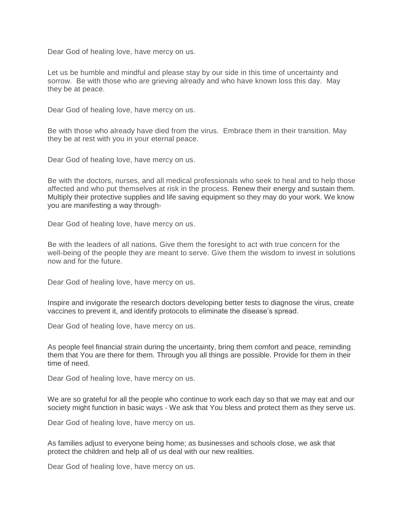Dear God of healing love, have mercy on us.

Let us be humble and mindful and please stay by our side in this time of uncertainty and sorrow. Be with those who are grieving already and who have known loss this day. May they be at peace.

Dear God of healing love, have mercy on us.

Be with those who already have died from the virus. Embrace them in their transition. May they be at rest with you in your eternal peace.

Dear God of healing love, have mercy on us.

Be with the doctors, nurses, and all medical professionals who seek to heal and to help those affected and who put themselves at risk in the process. Renew their energy and sustain them. Multiply their protective supplies and life saving equipment so they may do your work. We know you are manifesting a way through-

Dear God of healing love, have mercy on us.

Be with the leaders of all nations. Give them the foresight to act with true concern for the well-being of the people they are meant to serve. Give them the wisdom to invest in solutions now and for the future.

Dear God of healing love, have mercy on us.

Inspire and invigorate the research doctors developing better tests to diagnose the virus, create vaccines to prevent it, and identify protocols to eliminate the disease's spread.

Dear God of healing love, have mercy on us.

As people feel financial strain during the uncertainty, bring them comfort and peace, reminding them that You are there for them. Through you all things are possible. Provide for them in their time of need.

Dear God of healing love, have mercy on us.

We are so grateful for all the people who continue to work each day so that we may eat and our society might function in basic ways - We ask that You bless and protect them as they serve us.

Dear God of healing love, have mercy on us.

As families adjust to everyone being home; as businesses and schools close, we ask that protect the children and help all of us deal with our new realities.

Dear God of healing love, have mercy on us.